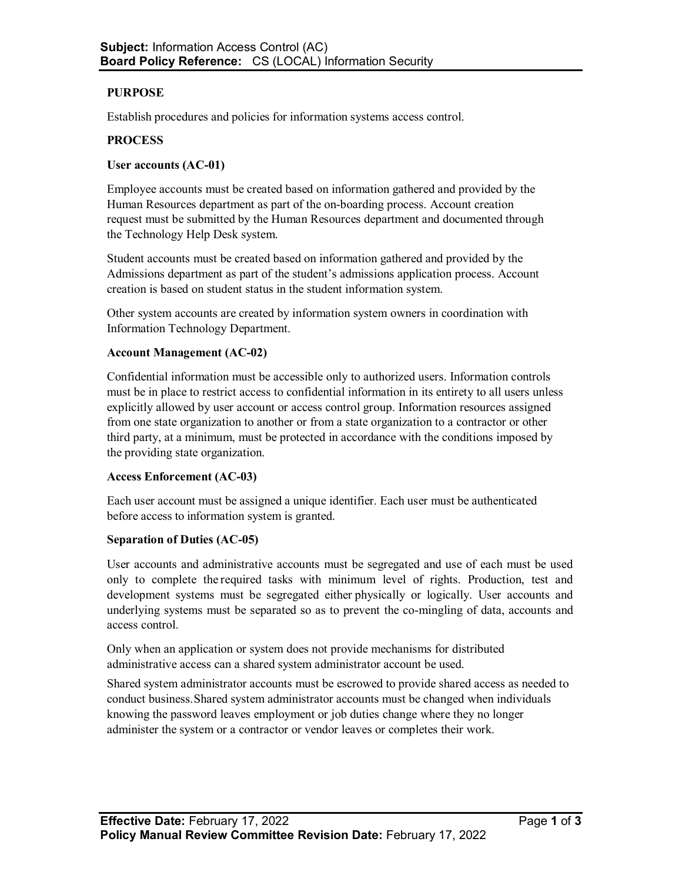# **PURPOSE**

Establish procedures and policies for information systems access control.

## **PROCESS**

## **User accounts (AC-01)**

Employee accounts must be created based on information gathered and provided by the Human Resources department as part of the on-boarding process. Account creation request must be submitted by the Human Resources department and documented through the Technology Help Desk system.

Student accounts must be created based on information gathered and provided by the Admissions department as part of the student's admissions application process. Account creation is based on student status in the student information system.

Other system accounts are created by information system owners in coordination with Information Technology Department.

## **Account Management (AC-02)**

Confidential information must be accessible only to authorized users. Information controls must be in place to restrict access to confidential information in its entirety to all users unless explicitly allowed by user account or access control group. Information resources assigned from one state organization to another or from a state organization to a contractor or other third party, at a minimum, must be protected in accordance with the conditions imposed by the providing state organization.

#### **Access Enforcement (AC-03)**

Each user account must be assigned a unique identifier. Each user must be authenticated before access to information system is granted.

#### **Separation of Duties (AC-05)**

User accounts and administrative accounts must be segregated and use of each must be used only to complete the required tasks with minimum level of rights. Production, test and development systems must be segregated either physically or logically. User accounts and underlying systems must be separated so as to prevent the co-mingling of data, accounts and access control.

Only when an application or system does not provide mechanisms for distributed administrative access can a shared system administrator account be used.

Shared system administrator accounts must be escrowed to provide shared access as needed to conduct business. Shared system administrator accounts must be changed when individuals knowing the password leaves employment or job duties change where they no longer administer the system or a contractor or vendor leaves or completes their work.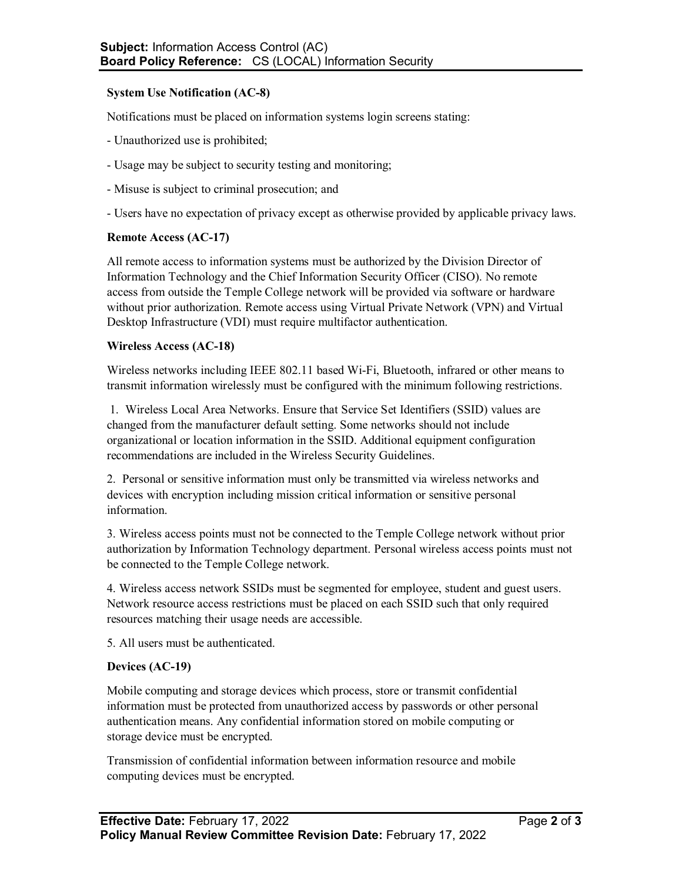## **System Use Notification (AC-8)**

Notifications must be placed on information systems login screens stating:

- Unauthorized use is prohibited;
- Usage may be subject to security testing and monitoring;
- Misuse is subject to criminal prosecution; and
- Users have no expectation of privacy except as otherwise provided by applicable privacy laws.

## **Remote Access (AC-17)**

All remote access to information systems must be authorized by the Division Director of Information Technology and the Chief Information Security Officer (CISO). No remote access from outside the Temple College network will be provided via software or hardware without prior authorization. Remote access using Virtual Private Network (VPN) and Virtual Desktop Infrastructure (VDI) must require multifactor authentication.

## **Wireless Access (AC-18)**

Wireless networks including IEEE 802.11 based Wi-Fi, Bluetooth, infrared or other means to transmit information wirelessly must be configured with the minimum following restrictions.

1. Wireless Local Area Networks. Ensure that Service Set Identifiers (SSID) values are changed from the manufacturer default setting. Some networks should not include organizational or location information in the SSID. Additional equipment configuration recommendations are included in the Wireless Security Guidelines.

2. Personal or sensitive information must only be transmitted via wireless networks and devices with encryption including mission critical information or sensitive personal information.

3. Wireless access points must not be connected to the Temple College network without prior authorization by Information Technology department. Personal wireless access points must not be connected to the Temple College network.

4. Wireless access network SSIDs must be segmented for employee, student and guest users. Network resource access restrictions must be placed on each SSID such that only required resources matching their usage needs are accessible.

5. All users must be authenticated.

## **Devices (AC-19)**

Mobile computing and storage devices which process, store or transmit confidential information must be protected from unauthorized access by passwords or other personal authentication means. Any confidential information stored on mobile computing or storage device must be encrypted.

Transmission of confidential information between information resource and mobile computing devices must be encrypted.